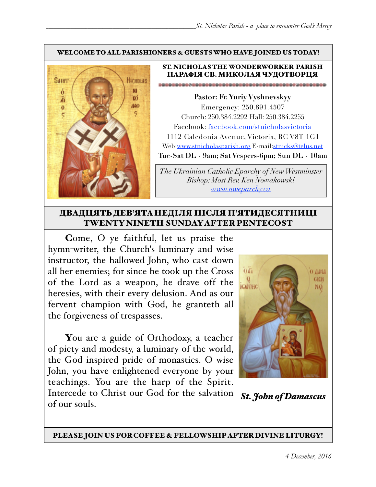#### WELCOME TO ALL PARISHIONERS & GUESTS WHO HAVE JOINED US TODAY!



#### ST. NICHOLAS THE WONDERWORKER PARISH ПАРАФІЯ СВ. МИКОЛАЯ ЧУДОТВОРЦЯ

**Pastor: Fr. Yuriy Vyshnevskyy** Emergency: 250.891.4507 Church: 250.384.2292 Hall: 250.384.2255 Facebook: facebook.com/stnicholasvictoria 1112 Caledonia Avenue, Victoria, BC V8T 1G1 Web[:www.stnicholasparish.org](http://www.stnicholasparish.org) E-mail:[stnicks@telus.net](mailto:stnicks@telus.net) **Tue-Sat DL - 9am; Sat Vespers-6pm; Sun DL - 10am**

*The Ukrainian Catholic Eparchy of New Westminster Bishop: Most Rev. Ken Nowakowski [www.nweparchy.ca](http://www.nweparchy.ca)*

#### ДВАДЦЯТЬ ДЕВ'ЯТАНЕДІЛЯ ПІСЛЯ П'ЯТИДЕСЯТНИЦІ TWENTY NINETH SUNDAY AFTER PENTECOST

Come, O ye faithful, let us praise the hymn-writer, the Church's luminary and wise instructor, the hallowed John, who cast down all her enemies; for since he took up the Cross of the Lord as a weapon, he drave off the heresies, with their every delusion. And as our fervent champion with God, he granteth all the forgiveness of trespasses.

You are a guide of Orthodoxy, a teacher of piety and modesty, a luminary of the world, the God inspired pride of monastics. O wise John, you have enlightened everyone by your teachings. You are the harp of the Spirit. Intercede to Christ our God for the salvation

of our souls.



*St. John of Damascus*

PLEASE JOIN US FOR COFFEE & FELLOWSHIP AFTER DIVINE LITURGY!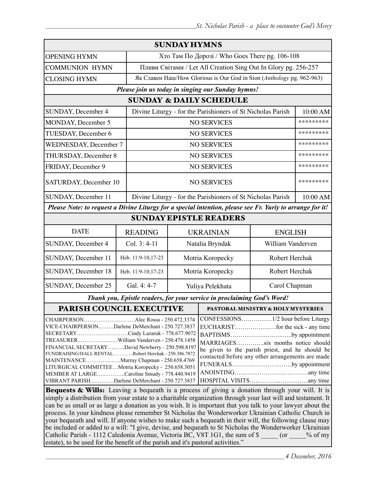| <b>SUNDAY HYMNS</b>                                                                                                                                                                                                                                                                                                                                                                                                                                                                               |                                                                                                                                                                                              |                                                                       |                                                             |                   |           |
|---------------------------------------------------------------------------------------------------------------------------------------------------------------------------------------------------------------------------------------------------------------------------------------------------------------------------------------------------------------------------------------------------------------------------------------------------------------------------------------------------|----------------------------------------------------------------------------------------------------------------------------------------------------------------------------------------------|-----------------------------------------------------------------------|-------------------------------------------------------------|-------------------|-----------|
| <b>OPENING HYMN</b>                                                                                                                                                                                                                                                                                                                                                                                                                                                                               |                                                                                                                                                                                              |                                                                       | Хто Там По Дорозі / Who Goes There pg. 106-108              |                   |           |
| <b>COMMUNION HYMN</b>                                                                                                                                                                                                                                                                                                                                                                                                                                                                             |                                                                                                                                                                                              | Пливи Світами / Let All Creation Sing Out In Glory pg. 256-257        |                                                             |                   |           |
| <b>CLOSING HYMN</b>                                                                                                                                                                                                                                                                                                                                                                                                                                                                               |                                                                                                                                                                                              | Як Славен Наш/How Glorious is Our God in Sion (Anthology pg. 962-963) |                                                             |                   |           |
| Please join us today in singing our Sunday hymns!                                                                                                                                                                                                                                                                                                                                                                                                                                                 |                                                                                                                                                                                              |                                                                       |                                                             |                   |           |
| <b>SUNDAY &amp; DAILY SCHEDULE</b>                                                                                                                                                                                                                                                                                                                                                                                                                                                                |                                                                                                                                                                                              |                                                                       |                                                             |                   |           |
| SUNDAY, December 4                                                                                                                                                                                                                                                                                                                                                                                                                                                                                |                                                                                                                                                                                              | Divine Liturgy - for the Parishioners of St Nicholas Parish           |                                                             |                   | 10:00 AM  |
| MONDAY, December 5                                                                                                                                                                                                                                                                                                                                                                                                                                                                                |                                                                                                                                                                                              | <b>NO SERVICES</b>                                                    |                                                             |                   | ********* |
| TUESDAY, December 6                                                                                                                                                                                                                                                                                                                                                                                                                                                                               |                                                                                                                                                                                              | <b>NO SERVICES</b>                                                    |                                                             |                   | ********* |
| WEDNESDAY, December 7                                                                                                                                                                                                                                                                                                                                                                                                                                                                             |                                                                                                                                                                                              |                                                                       | <b>NO SERVICES</b>                                          |                   | ********* |
| THURSDAY, December 8                                                                                                                                                                                                                                                                                                                                                                                                                                                                              |                                                                                                                                                                                              |                                                                       | <b>NO SERVICES</b>                                          |                   | ********* |
| FRIDAY, December 9                                                                                                                                                                                                                                                                                                                                                                                                                                                                                |                                                                                                                                                                                              |                                                                       | <b>NO SERVICES</b>                                          |                   | ********* |
| SATURDAY, December 10                                                                                                                                                                                                                                                                                                                                                                                                                                                                             | <b>NO SERVICES</b>                                                                                                                                                                           |                                                                       |                                                             |                   | ********* |
| SUNDAY, December 11                                                                                                                                                                                                                                                                                                                                                                                                                                                                               |                                                                                                                                                                                              |                                                                       | Divine Liturgy - for the Parishioners of St Nicholas Parish |                   | 10:00 AM  |
| Please Note: to request a Divine Liturgy for a special intention, please see Fr. Yuriy to arrange for it!                                                                                                                                                                                                                                                                                                                                                                                         |                                                                                                                                                                                              |                                                                       |                                                             |                   |           |
| <b>SUNDAY EPISTLE READERS</b>                                                                                                                                                                                                                                                                                                                                                                                                                                                                     |                                                                                                                                                                                              |                                                                       |                                                             |                   |           |
| <b>DATE</b>                                                                                                                                                                                                                                                                                                                                                                                                                                                                                       | <b>READING</b>                                                                                                                                                                               | <b>UKRAINIAN</b><br><b>ENGLISH</b>                                    |                                                             |                   |           |
| SUNDAY, December 4                                                                                                                                                                                                                                                                                                                                                                                                                                                                                | Col. 3: 4-11                                                                                                                                                                                 | Natalia Bryndak                                                       |                                                             | William Vanderven |           |
| SUNDAY, December 11                                                                                                                                                                                                                                                                                                                                                                                                                                                                               | Heb. 11:9-10,17-23                                                                                                                                                                           | Motria Koropecky                                                      |                                                             | Robert Herchak    |           |
| SUNDAY, December 18                                                                                                                                                                                                                                                                                                                                                                                                                                                                               | Heb. 11:9-10,17-23                                                                                                                                                                           | Motria Koropecky                                                      |                                                             | Robert Herchak    |           |
| SUNDAY, December 25                                                                                                                                                                                                                                                                                                                                                                                                                                                                               | Gal. 4: 4-7                                                                                                                                                                                  | Yuliya Pelekhata                                                      |                                                             | Carol Chapman     |           |
| Thank you, Epistle readers, for your service in proclaiming God's Word!                                                                                                                                                                                                                                                                                                                                                                                                                           |                                                                                                                                                                                              |                                                                       |                                                             |                   |           |
| <b>PARISH COUNCIL EXECUTIVE</b>                                                                                                                                                                                                                                                                                                                                                                                                                                                                   |                                                                                                                                                                                              |                                                                       | <b>PASTORAL MINISTRY &amp; HOLY MYSTERIES</b>               |                   |           |
| CHAIRPERSONAlec Rossa - 250.472.3374<br>VICE-CHAIRPERSONDarlene DeMerchant - 250.727.3837<br>SECRETARYCindy Lazaruk - 778.677.9072<br>TREASURERWilliam Vanderven - 250.478.1458<br>FINANCIAL SECRETARYDavid Newberry - 250.598.8197<br>FUNDRAISING/HALL RENTALRobert Herchak - 250.386.7872<br>MAINTENANCEMurray Chapman - 250.658.4769<br>LITURGICAL COMMITTEEMotria Koropecky - 250.658.3051<br>MEMBER AT LARGECaroline Smudy - 778.440.9419<br>VIBRANT PARISHDarlene DeMerchant - 250.727.3837 | BAPTISMSby appointment<br>MARRIAGESsix months notice should<br>be given to the parish priest, and he should be<br>contacted before any other arrangements are made<br>FUNERALSby appointment |                                                                       |                                                             |                   |           |
| <b>Bequests &amp; Wills:</b> Leaving a bequeath is a process of giving a donation through your will. It is<br>$\epsilon$ of distribution from your estate to a charitable crossization through your last will and testament. It                                                                                                                                                                                                                                                                   |                                                                                                                                                                                              |                                                                       |                                                             |                   |           |

simply a distribution from your estate to a charitable organization through your last will and testament. It can be as small or as large a donation as you wish. It is important that you talk to your lawyer about the process. In your kindness please remember St Nicholas the Wonderworker Ukrainian Catholic Church in your bequeath and will. If anyone wishes to make such a bequeath in their will, the following clause may be included or added to a will: "I give, devise, and bequeath to St Nicholas the Wonderworker Ukrainian Catholic Parish - 1112 Caledonia Avenue, Victoria BC, V8T 1G1, the sum of \$  $\qquad \qquad$  (or  $\qquad \qquad$  % of my estate), to be used for the benefit of the parish and it's pastoral activities."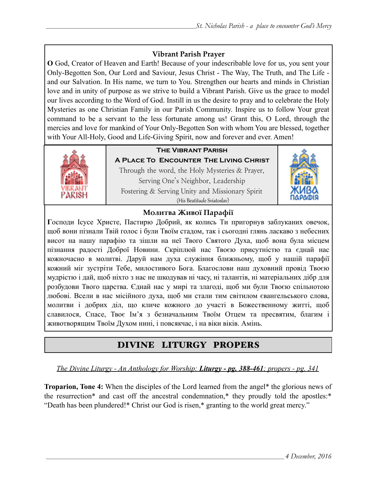### **Vibrant Parish Prayer**

**O** God, Creator of Heaven and Earth! Because of your indescribable love for us, you sent your Only-Begotten Son, Our Lord and Saviour, Jesus Christ - The Way, The Truth, and The Life and our Salvation. In His name, we turn to You. Strengthen our hearts and minds in Christian love and in unity of purpose as we strive to build a Vibrant Parish. Give us the grace to model our lives according to the Word of God. Instill in us the desire to pray and to celebrate the Holy Mysteries as one Christian Family in our Parish Community. Inspire us to follow Your great command to be a servant to the less fortunate among us! Grant this, O Lord, through the mercies and love for mankind of Your Only-Begotten Son with whom You are blessed, together with Your All-Holy, Good and Life-Giving Spirit, now and forever and ever. Amen!



## **The Vibrant Parish**

**A Place To Encounter The Living Christ** Through the word, the Holy Mysteries & Prayer, Serving One's Neighbor, Leadership Fostering & Serving Unity and Missionary Spirit (His Beatitude Sviatoslav)



#### **Молитва Живої Парафії**

**Г**осподи Ісусе Христе, Пастирю Добрий, як колись Ти пригорнув заблуканих овечок, щоб вони пізнали Твій голос і були Твоїм стадом, так і сьогодні глянь ласкаво з небесних висот на нашу парафію та зішли на неї Твого Святого Духа, щоб вона була місцем пізнання радості Доброї Новини. Скріплюй нас Твоєю присутністю та єднай нас кожночасно в молитві. Даруй нам духа служіння ближньому, щоб у нашій парафії кожний міг зустріти Тебе, милостивого Бога. Благослови наш духовний провід Твоєю мудрістю і дай, щоб ніхто з нас не шкодував ні часу, ні талантів, ні матеріальних дібр для розбудови Твого царства. Єднай нас у мирі та злагоді, щоб ми були Твоєю спільнотою любові. Всели в нас місійного духа, щоб ми стали тим світилом євангельського слова, молитви і добрих діл, що кличе кожного до участі в Божественному житті, щоб славилося, Спасе, Твоє Ім'я з безначальним Твоїм Отцем та пресвятим, благим і животворящим Твоїм Духом нині, і повсякчас, і на віки віків. Амінь.

# DIVINE LITURGY PROPERS

*The Divine Liturgy - An Anthology for Worship: Liturgy - pg. 388-461; propers - pg. 341* 

**Troparion, Tone 4:** When the disciples of the Lord learned from the angel\* the glorious news of the resurrection\* and cast off the ancestral condemnation,\* they proudly told the apostles:\* "Death has been plundered!\* Christ our God is risen,\* granting to the world great mercy."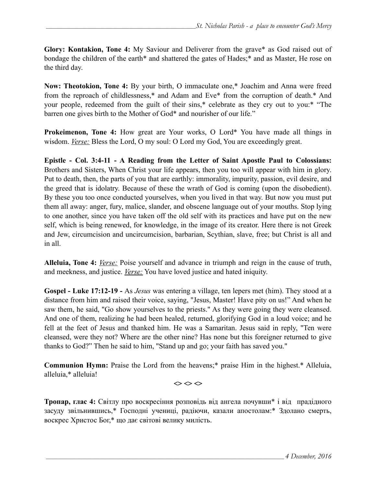**Glory: Kontakion, Tone 4:** My Saviour and Deliverer from the grave\* as God raised out of bondage the children of the earth\* and shattered the gates of Hades;\* and as Master, He rose on the third day.

**Now: Theotokion, Tone 4:** By your birth, O immaculate one,\* Joachim and Anna were freed from the reproach of childlessness,\* and Adam and Eve\* from the corruption of death.\* And your people, redeemed from the guilt of their sins,\* celebrate as they cry out to you:\* "The barren one gives birth to the Mother of God\* and nourisher of our life."

**Prokeimenon, Tone 4:** How great are Your works, O Lord\* You have made all things in wisdom. *Verse:* Bless the Lord, O my soul: O Lord my God, You are exceedingly great.

**Epistle - Col. 3:4-11 - A Reading from the Letter of Saint Apostle Paul to Colossians:** Brothers and Sisters, When Christ your life appears, then you too will appear with him in glory. Put to death, then, the parts of you that are earthly: immorality, impurity, passion, evil desire, and the greed that is idolatry. Because of these the wrath of God is coming (upon the disobedient). By these you too once conducted yourselves, when you lived in that way. But now you must put them all away: anger, fury, malice, slander, and obscene language out of your mouths. Stop lying to one another, since you have taken off the old self with its practices and have put on the new self, which is being renewed, for knowledge, in the image of its creator. Here there is not Greek and Jew, circumcision and uncircumcision, barbarian, Scythian, slave, free; but Christ is all and in all.

**Alleluia, Tone 4:** *Verse:* Poise yourself and advance in triumph and reign in the cause of truth, and meekness, and justice. *Verse:* You have loved justice and hated iniquity.

**Gospel - Luke 17:12-19 -** As *Jesus* was entering a village, ten lepers met (him). They stood at a distance from him and raised their voice, saying, "Jesus, Master! Have pity on us!" And when he saw them, he said, "Go show yourselves to the priests." As they were going they were cleansed. And one of them, realizing he had been healed, returned, glorifying God in a loud voice; and he fell at the feet of Jesus and thanked him. He was a Samaritan. Jesus said in reply, "Ten were cleansed, were they not? Where are the other nine? Has none but this foreigner returned to give thanks to God?" Then he said to him, "Stand up and go; your faith has saved you."

**Communion Hymn:** Praise the Lord from the heavens;\* praise Him in the highest.\* Alleluia, alleluia,\* alleluia!

 $\Leftrightarrow$   $\Leftrightarrow$   $\Leftrightarrow$ 

**Тропар, глас 4:** Світлу про воскресіння розповідь від ангела почувши\* і від прадідного засуду звільнившись,\* Господні учениці, радіючи, казали апостолам:\* Здолано смерть, воскрес Христос Бог,\* що дає світові велику милість.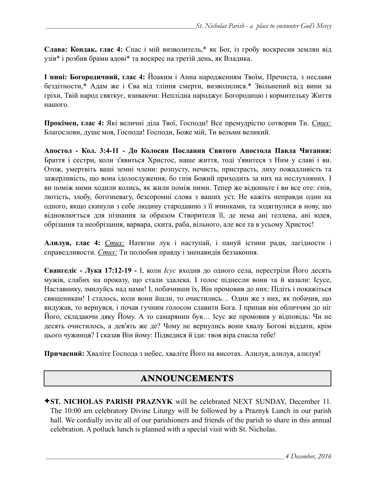**Слава: Кондак, глас 4:** Спас і мій визволитель,\* як Бог, із гробу воскресив землян від узів\* і розбив брами адові\* та воскрес на третій день, як Владика.

**І нині: Богородичний, глас 4:** Йоаким і Анна народженням Твоїм, Пречиста, з неслави бездітности,\* Адам же і Єва від тління смерти, визволилися.\* Звільнений від вини за гріхи, Твій народ святкує, взиваючи: Неплідна народжує Богородицю і кормительку Життя нашого.

**Прокімен, глас 4:** Які величні діла Твої, Господи! Все премудрістю сотворив Ти. *Стих:* Благослови, душе моя, Господа! Господи, Боже мій, Ти вельми великий.

**Апостол - Кол. 3:4-11 - До Колосян Послання Святого Апостола Павла Читання:**  Браття і сестри, коли з'явиться Христос, наше життя, тоді з'явитеся з Ним у славі і ви. Отож, умертвіть ваші земні члени: розпусту, нечисть, пристрасть, лиху пожадливість та зажерливість, що вона ідолослуження, бо гнів Божий приходить за них на неслухняних. І ви поміж ними ходили колись, як жили поміж ними. Тепер же відкиньте і ви все оте: гнів, лютість, злобу, богозневагу, безсоромні слова з ваших уст. Не кажіть неправди один на одного, якщо скинули з себе людину стародавню з її вчинками, та зодягнулися в нову, що відновлюється для пізнання за образом Створителя її, де нема ані геллена, ані юдея, обрізання та необрізання, варвара, скита, раба, вільного, але все та в усьому Христос!

**Алилуя, глас 4:** *Стих:* Натягни лук і наступай, і пануй істини ради, лагідности і справедливости. *Стих:* Ти полюбив правду і зненавидів беззаконня.

**Євангеліє - Лука 17:12-19 -** І, коли *Ісус* входив до одного села, перестріли Його десять мужів, слабих на проказу, що стали здалека. І голос піднесли вони та й казали: Ісусе, Наставнику, змилуйсь над нами! І, побачивши їх, Він промовив до них: Підіть і покажіться священикам! І сталось, коли вони йшли, то очистились… Один же з них, як побачив, що видужав, то вернувся, і почав гучним голосом славити Бога. І припав він обличчям до ніг Його, складаючи дяку Йому. А то самарянин був… Ісус же промовив у відповідь: Чи не десять очистилось, а дев'ять же де? Чому не вернулись вони хвалу Богові віддати, крім цього чужинця? І сказав Він йому: Підведися й іди: твоя віра спасла тебе!

**Причасний:** Хваліте Господа з небес, хваліте Його на висотах. Алилуя, алилуя, алилуя!

## ANNOUNCEMENTS

✦**ST. NICHOLAS PARISH PRAZNYK** will be celebrated NEXT SUNDAY, December 11. The 10:00 am celebratory Divine Liturgy will be followed by a Praznyk Lunch in our parish hall. We cordially invite all of our parishioners and friends of the parish to share in this annual celebration. A potluck lunch is planned with a special visit with St. Nicholas.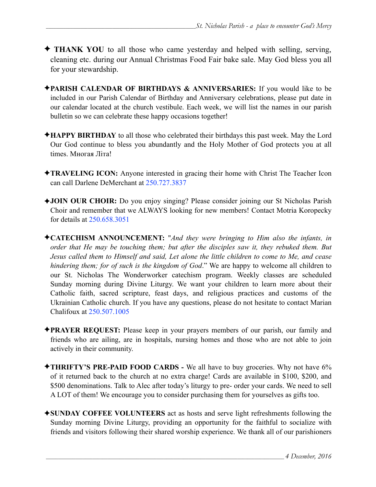- ✦ **THANK YOU** to all those who came yesterday and helped with selling, serving, cleaning etc. during our Annual Christmas Food Fair bake sale. May God bless you all for your stewardship.
- ✦**PARISH CALENDAR OF BIRTHDAYS & ANNIVERSARIES:** If you would like to be included in our Parish Calendar of Birthday and Anniversary celebrations, please put date in our calendar located at the church vestibule. Each week, we will list the names in our parish bulletin so we can celebrate these happy occasions together!
- ✦**HAPPY BIRTHDAY** to all those who celebrated their birthdays this past week. May the Lord Our God continue to bless you abundantly and the Holy Mother of God protects you at all times. Многая Літа!
- ✦**TRAVELING ICON:** Anyone interested in gracing their home with Christ The Teacher Icon can call Darlene DeMerchant at 250.727.3837
- ✦**JOIN OUR CHOIR:** Do you enjoy singing? Please consider joining our St Nicholas Parish Choir and remember that we ALWAYS looking for new members! Contact Motria Koropecky for details at 250.658.3051
- ✦**CATECHISM ANNOUNCEMENT:** "*And they were bringing to Him also the infants, in order that He may be touching them; but after the disciples saw it, they rebuked them. But Jesus called them to Himself and said, Let alone the little children to come to Me, and cease hindering them; for of such is the kingdom of God*." We are happy to welcome all children to our St. Nicholas The Wonderworker catechism program. Weekly classes are scheduled Sunday morning during Divine Liturgy. We want your children to learn more about their Catholic faith, sacred scripture, feast days, and religious practices and customs of the Ukrainian Catholic church. If you have any questions, please do not hesitate to contact Marian Chalifoux at 250.507.1005
- ✦**PRAYER REQUEST:** Please keep in your prayers members of our parish, our family and friends who are ailing, are in hospitals, nursing homes and those who are not able to join actively in their community.
- ✦**THRIFTY'S PRE-PAID FOOD CARDS** We all have to buy groceries. Why not have 6% of it returned back to the church at no extra charge! Cards are available in \$100, \$200, and \$500 denominations. Talk to Alec after today's liturgy to pre- order your cards. We need to sell A LOT of them! We encourage you to consider purchasing them for yourselves as gifts too.
- ✦**SUNDAY COFFEE VOLUNTEERS** act as hosts and serve light refreshments following the Sunday morning Divine Liturgy, providing an opportunity for the faithful to socialize with friends and visitors following their shared worship experience. We thank all of our parishioners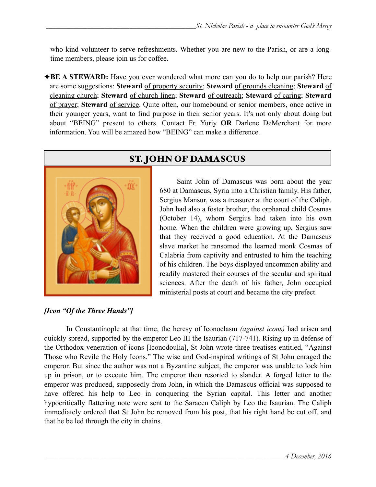who kind volunteer to serve refreshments. Whether you are new to the Parish, or are a longtime members, please join us for coffee.

◆**BE A STEWARD:** Have you ever wondered what more can you do to help our parish? Here are some suggestions: **Steward** of property security; **Steward** of grounds cleaning; **Steward** of cleaning church; **Steward** of church linen; **Steward** of outreach; **Steward** of caring; **Steward** of prayer; **Steward** of service. Quite often, our homebound or senior members, once active in their younger years, want to find purpose in their senior years. It's not only about doing but about "BEING" present to others. Contact Fr. Yuriy **OR** Darlene DeMerchant for more information. You will be amazed how "BEING" can make a difference.



# ST. JOHN OF DAMASCUS

 Saint John of Damascus was born about the year 680 at Damascus, Syria into a Christian family. His father, Sergius Mansur, was a treasurer at the court of the Caliph. John had also a foster brother, the orphaned child Cosmas (October 14), whom Sergius had taken into his own home. When the children were growing up, Sergius saw that they received a good education. At the Damascus slave market he ransomed the learned monk Cosmas of Calabria from captivity and entrusted to him the teaching of his children. The boys displayed uncommon ability and readily mastered their courses of the secular and spiritual sciences. After the death of his father, John occupied ministerial posts at court and became the city prefect.

### *[Icon "Of the Three Hands"]*

 In Constantinople at that time, the heresy of Iconoclasm *(against icons)* had arisen and quickly spread, supported by the emperor Leo III the Isaurian (717-741). Rising up in defense of the Orthodox veneration of icons [Iconodoulia], St John wrote three treatises entitled, "Against Those who Revile the Holy Icons." The wise and God-inspired writings of St John enraged the emperor. But since the author was not a Byzantine subject, the emperor was unable to lock him up in prison, or to execute him. The emperor then resorted to slander. A forged letter to the emperor was produced, supposedly from John, in which the Damascus official was supposed to have offered his help to Leo in conquering the Syrian capital. This letter and another hypocritically flattering note were sent to the Saracen Caliph by Leo the Isaurian. The Caliph immediately ordered that St John be removed from his post, that his right hand be cut off, and that he be led through the city in chains.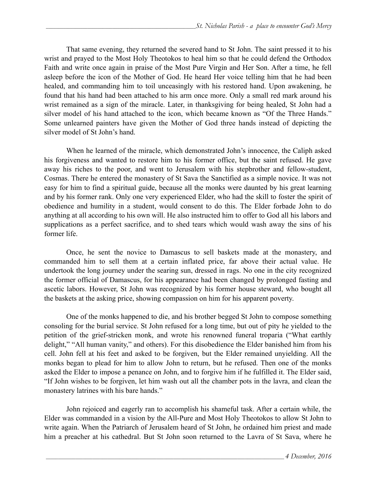That same evening, they returned the severed hand to St John. The saint pressed it to his wrist and prayed to the Most Holy Theotokos to heal him so that he could defend the Orthodox Faith and write once again in praise of the Most Pure Virgin and Her Son. After a time, he fell asleep before the icon of the Mother of God. He heard Her voice telling him that he had been healed, and commanding him to toil unceasingly with his restored hand. Upon awakening, he found that his hand had been attached to his arm once more. Only a small red mark around his wrist remained as a sign of the miracle. Later, in thanksgiving for being healed, St John had a silver model of his hand attached to the icon, which became known as "Of the Three Hands." Some unlearned painters have given the Mother of God three hands instead of depicting the silver model of St John's hand.

 When he learned of the miracle, which demonstrated John's innocence, the Caliph asked his forgiveness and wanted to restore him to his former office, but the saint refused. He gave away his riches to the poor, and went to Jerusalem with his stepbrother and fellow-student, Cosmas. There he entered the monastery of St Sava the Sanctified as a simple novice. It was not easy for him to find a spiritual guide, because all the monks were daunted by his great learning and by his former rank. Only one very experienced Elder, who had the skill to foster the spirit of obedience and humility in a student, would consent to do this. The Elder forbade John to do anything at all according to his own will. He also instructed him to offer to God all his labors and supplications as a perfect sacrifice, and to shed tears which would wash away the sins of his former life.

Once, he sent the novice to Damascus to sell baskets made at the monastery, and commanded him to sell them at a certain inflated price, far above their actual value. He undertook the long journey under the searing sun, dressed in rags. No one in the city recognized the former official of Damascus, for his appearance had been changed by prolonged fasting and ascetic labors. However, St John was recognized by his former house steward, who bought all the baskets at the asking price, showing compassion on him for his apparent poverty.

One of the monks happened to die, and his brother begged St John to compose something consoling for the burial service. St John refused for a long time, but out of pity he yielded to the petition of the grief-stricken monk, and wrote his renowned funeral troparia ("What earthly delight," "All human vanity," and others). For this disobedience the Elder banished him from his cell. John fell at his feet and asked to be forgiven, but the Elder remained unyielding. All the monks began to plead for him to allow John to return, but he refused. Then one of the monks asked the Elder to impose a penance on John, and to forgive him if he fulfilled it. The Elder said, "If John wishes to be forgiven, let him wash out all the chamber pots in the lavra, and clean the monastery latrines with his bare hands."

 John rejoiced and eagerly ran to accomplish his shameful task. After a certain while, the Elder was commanded in a vision by the All-Pure and Most Holy Theotokos to allow St John to write again. When the Patriarch of Jerusalem heard of St John, he ordained him priest and made him a preacher at his cathedral. But St John soon returned to the Lavra of St Sava, where he